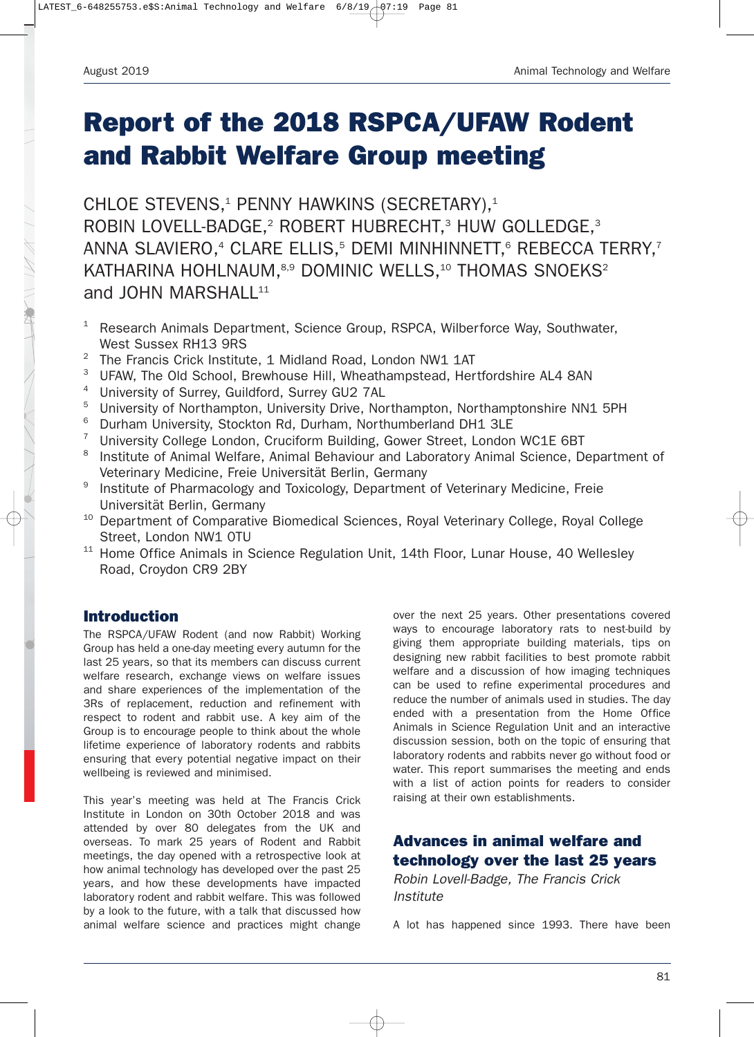# **Report of the 2018 RSPCA/UFAW Rodent and Rabbit Welfare Group meeting**

CHLOE STEVENS,<sup>1</sup> PENNY HAWKINS (SECRETARY),<sup>1</sup> ROBIN LOVELL-BADGE,<sup>2</sup> ROBERT HUBRECHT,<sup>3</sup> HUW GOLLEDGE,<sup>3</sup> ANNA SLAVIERO,<sup>4</sup> CLARE ELLIS,<sup>5</sup> DEMI MINHINNETT,<sup>6</sup> REBECCA TERRY,<sup>7</sup> KATHARINA HOHLNAUM, 8,9 DOMINIC WELLS, <sup>10</sup> THOMAS SNOEKS<sup>2</sup> and JOHN MARSHALL $11$ 

- <sup>1</sup> Research Animals Department, Science Group, RSPCA, Wilberforce Way, Southwater, West Sussex RH13 9RS
- <sup>2</sup> The Francis Crick Institute, 1 Midland Road, London NW1 1AT
- <sup>3</sup> UFAW, The Old School, Brewhouse Hill, Wheathampstead, Hertfordshire AL4 8AN
- <sup>4</sup> University of Surrey, Guildford, Surrey GU2 7AL
- <sup>5</sup> University of Northampton, University Drive, Northampton, Northamptonshire NN1 5PH
- <sup>6</sup> Durham University, Stockton Rd, Durham, Northumberland DH1 3LE
- <sup>7</sup> University College London, Cruciform Building, Gower Street, London WC1E 6BT
- <sup>8</sup> Institute of Animal Welfare, Animal Behaviour and Laboratory Animal Science, Department of Veterinary Medicine, Freie Universität Berlin, Germany
- <sup>9</sup> Institute of Pharmacology and Toxicology, Department of Veterinary Medicine, Freie Universität Berlin, Germany
- <sup>10</sup> Department of Comparative Biomedical Sciences, Royal Veterinary College, Royal College Street, London NW1 0TU
- <sup>11</sup> Home Office Animals in Science Regulation Unit, 14th Floor, Lunar House, 40 Wellesley Road, Croydon CR9 2BY

### **Introduction**

The RSPCA/UFAW Rodent (and now Rabbit) Working Group has held a one-day meeting every autumn for the last 25 years, so that its members can discuss current welfare research, exchange views on welfare issues and share experiences of the implementation of the 3Rs of replacement, reduction and refinement with respect to rodent and rabbit use. A key aim of the Group is to encourage people to think about the whole lifetime experience of laboratory rodents and rabbits ensuring that every potential negative impact on their wellbeing is reviewed and minimised.

This year's meeting was held at The Francis Crick Institute in London on 30th October 2018 and was attended by over 80 delegates from the UK and overseas. To mark 25 years of Rodent and Rabbit meetings, the day opened with a retrospective look at how animal technology has developed over the past 25 years, and how these developments have impacted laboratory rodent and rabbit welfare. This was followed by a look to the future, with a talk that discussed how animal welfare science and practices might change

over the next 25 years. Other presentations covered ways to encourage laboratory rats to nest-build by giving them appropriate building materials, tips on designing new rabbit facilities to best promote rabbit welfare and a discussion of how imaging techniques can be used to refine experimental procedures and reduce the number of animals used in studies. The day ended with a presentation from the Home Office Animals in Science Regulation Unit and an interactive discussion session, both on the topic of ensuring that laboratory rodents and rabbits never go without food or water. This report summarises the meeting and ends with a list of action points for readers to consider raising at their own establishments.

# **Advances in animal welfare and technology over the last 25 years**

*Robin Lovell-Badge, The Francis Crick Institute*

A lot has happened since 1993. There have been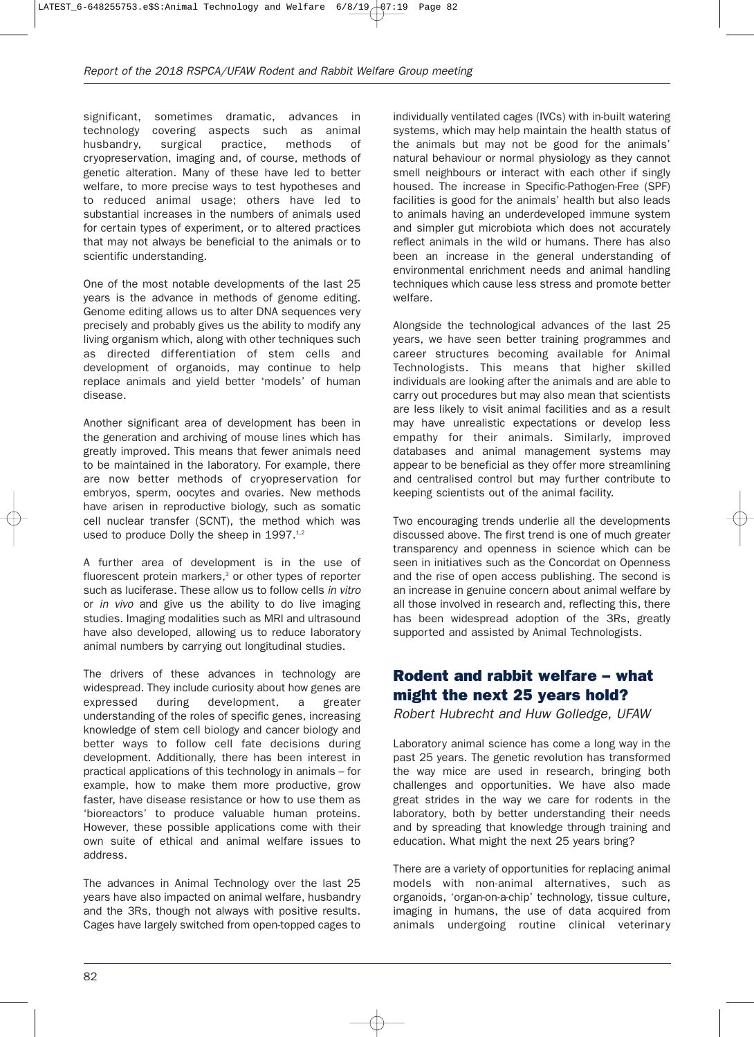significant, sometimes dramatic, advances in technology covering aspects such as animal husbandry, surgical practice, methods of cryopreservation, imaging and, of course, methods of genetic alteration. Many of these have led to better welfare, to more precise ways to test hypotheses and to reduced animal usage; others have led to substantial increases in the numbers of animals used for certain types of experiment, or to altered practices that may not always be beneficial to the animals or to scientific understanding.

One of the most notable developments of the last 25 years is the advance in methods of genome editing. Genome editing allows us to alter DNA sequences very precisely and probably gives us the ability to modify any living organism which, along with other techniques such as directed differentiation of stem cells and development of organoids, may continue to help replace animals and yield better 'models' of human disease.

Another significant area of development has been in the generation and archiving of mouse lines which has greatly improved. This means that fewer animals need to be maintained in the laboratory. For example, there are now better methods of cryopreservation for embryos, sperm, oocytes and ovaries. New methods have arisen in reproductive biology, such as somatic cell nuclear transfer (SCNT), the method which was used to produce Dolly the sheep in 1997.<sup>1,2</sup>

A further area of development is in the use of fluorescent protein markers,<sup>3</sup> or other types of reporter such as luciferase. These allow us to follow cells *in vitro* or *in vivo* and give us the ability to do live imaging studies. Imaging modalities such as MRI and ultrasound have also developed, allowing us to reduce laboratory animal numbers by carrying out longitudinal studies.

The drivers of these advances in technology are widespread. They include curiosity about how genes are expressed during development, a greater understanding of the roles of specific genes, increasing knowledge of stem cell biology and cancer biology and better ways to follow cell fate decisions during development. Additionally, there has been interest in practical applications of this technology in animals – for example, how to make them more productive, grow faster, have disease resistance or how to use them as 'bioreactors' to produce valuable human proteins. However, these possible applications come with their own suite of ethical and animal welfare issues to address.

The advances in Animal Technology over the last 25 years have also impacted on animal welfare, husbandry and the 3Rs, though not always with positive results. Cages have largely switched from open-topped cages to

individually ventilated cages (IVCs) with in-built watering systems, which may help maintain the health status of the animals but may not be good for the animals' natural behaviour or normal physiology as they cannot smell neighbours or interact with each other if singly housed. The increase in Specific-Pathogen-Free (SPF) facilities is good for the animals' health but also leads to animals having an underdeveloped immune system and simpler gut microbiota which does not accurately reflect animals in the wild or humans. There has also been an increase in the general understanding of environmental enrichment needs and animal handling techniques which cause less stress and promote better welfare.

Alongside the technological advances of the last 25 years, we have seen better training programmes and career structures becoming available for Animal Technologists. This means that higher skilled individuals are looking after the animals and are able to carry out procedures but may also mean that scientists are less likely to visit animal facilities and as a result may have unrealistic expectations or develop less empathy for their animals. Similarly, improved databases and animal management systems may appear to be beneficial as they offer more streamlining and centralised control but may further contribute to keeping scientists out of the animal facility.

Two encouraging trends underlie all the developments discussed above. The first trend is one of much greater transparency and openness in science which can be seen in initiatives such as the Concordat on Openness and the rise of open access publishing. The second is an increase in genuine concern about animal welfare by all those involved in research and, reflecting this, there has been widespread adoption of the 3Rs, greatly supported and assisted by Animal Technologists.

#### **Rodent and rabbit welfare – what might the next 25 years hold?**

*Robert Hubrecht and Huw Golledge, UFAW*

Laboratory animal science has come a long way in the past 25 years. The genetic revolution has transformed the way mice are used in research, bringing both challenges and opportunities. We have also made great strides in the way we care for rodents in the laboratory, both by better understanding their needs and by spreading that knowledge through training and education. What might the next 25 years bring?

There are a variety of opportunities for replacing animal models with non-animal alternatives, such as organoids, 'organ-on-a-chip' technology, tissue culture, imaging in humans, the use of data acquired from animals undergoing routine clinical veterinary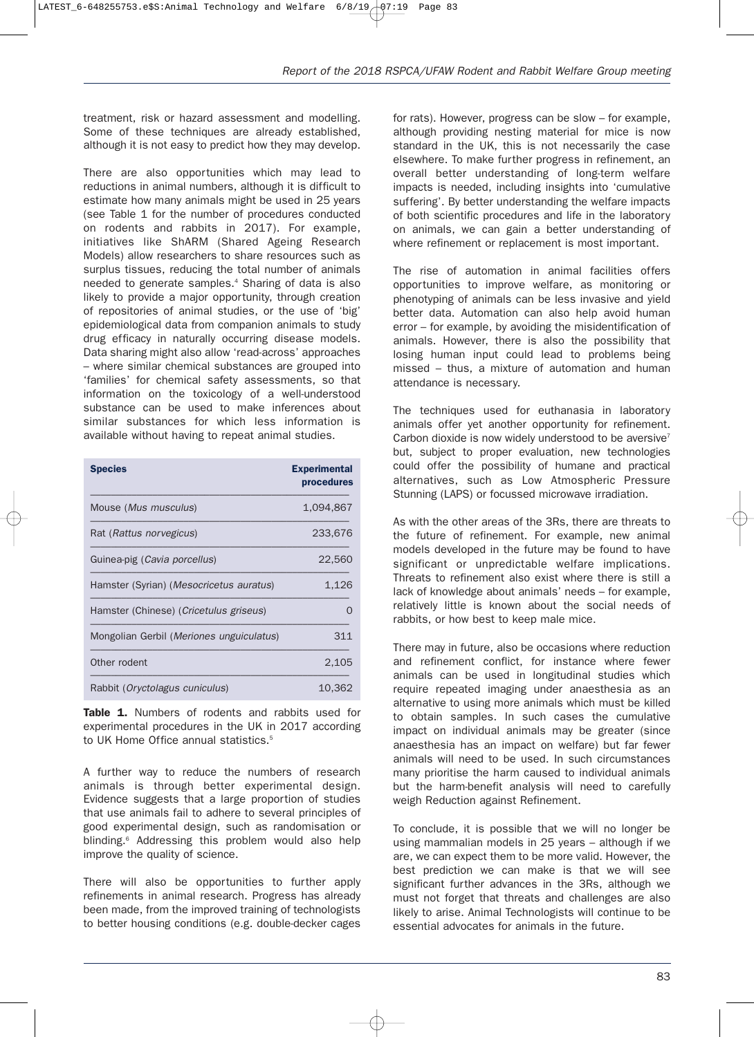treatment, risk or hazard assessment and modelling. Some of these techniques are already established, although it is not easy to predict how they may develop.

There are also opportunities which may lead to reductions in animal numbers, although it is difficult to estimate how many animals might be used in 25 years (see Table 1 for the number of procedures conducted on rodents and rabbits in 2017). For example, initiatives like ShARM (Shared Ageing Research Models) allow researchers to share resources such as surplus tissues, reducing the total number of animals needed to generate samples.4 Sharing of data is also likely to provide a major opportunity, through creation of repositories of animal studies, or the use of 'big' epidemiological data from companion animals to study drug efficacy in naturally occurring disease models. Data sharing might also allow 'read-across' approaches – where similar chemical substances are grouped into 'families' for chemical safety assessments, so that information on the toxicology of a well-understood substance can be used to make inferences about similar substances for which less information is available without having to repeat animal studies.

| <b>Species</b>                                  | <b>Experimental</b><br>procedures |
|-------------------------------------------------|-----------------------------------|
| Mouse ( <i>Mus musculus</i> )                   | 1,094,867                         |
| Rat ( <i>Rattus norvegicus</i> )                | 233,676                           |
| Guinea-pig (Cavia porcellus)                    | 22,560                            |
| Hamster (Syrian) (Mesocricetus auratus)         | 1,126                             |
| Hamster (Chinese) ( <i>Cricetulus griseus</i> ) |                                   |
| Mongolian Gerbil (Meriones unguiculatus)        | 311                               |
| Other rodent                                    | 2,105                             |
| Rabbit (Oryctolagus cuniculus)                  | 10.362                            |

Table 1. Numbers of rodents and rabbits used for experimental procedures in the UK in 2017 according to UK Home Office annual statistics.<sup>5</sup>

A further way to reduce the numbers of research animals is through better experimental design. Evidence suggests that a large proportion of studies that use animals fail to adhere to several principles of good experimental design, such as randomisation or blinding.<sup>6</sup> Addressing this problem would also help improve the quality of science.

There will also be opportunities to further apply refinements in animal research. Progress has already been made, from the improved training of technologists to better housing conditions (e.g. double-decker cages

for rats). However, progress can be slow – for example, although providing nesting material for mice is now standard in the UK, this is not necessarily the case elsewhere. To make further progress in refinement, an overall better understanding of long-term welfare impacts is needed, including insights into 'cumulative suffering'. By better understanding the welfare impacts of both scientific procedures and life in the laboratory on animals, we can gain a better understanding of where refinement or replacement is most important.

The rise of automation in animal facilities offers opportunities to improve welfare, as monitoring or phenotyping of animals can be less invasive and yield better data. Automation can also help avoid human error – for example, by avoiding the misidentification of animals. However, there is also the possibility that losing human input could lead to problems being missed – thus, a mixture of automation and human attendance is necessary.

The techniques used for euthanasia in laboratory animals offer yet another opportunity for refinement. Carbon dioxide is now widely understood to be aversive<sup>7</sup> but, subject to proper evaluation, new technologies could offer the possibility of humane and practical alternatives, such as Low Atmospheric Pressure Stunning (LAPS) or focussed microwave irradiation.

As with the other areas of the 3Rs, there are threats to the future of refinement. For example, new animal models developed in the future may be found to have significant or unpredictable welfare implications. Threats to refinement also exist where there is still a lack of knowledge about animals' needs – for example, relatively little is known about the social needs of rabbits, or how best to keep male mice.

There may in future, also be occasions where reduction and refinement conflict, for instance where fewer animals can be used in longitudinal studies which require repeated imaging under anaesthesia as an alternative to using more animals which must be killed to obtain samples. In such cases the cumulative impact on individual animals may be greater (since anaesthesia has an impact on welfare) but far fewer animals will need to be used. In such circumstances many prioritise the harm caused to individual animals but the harm-benefit analysis will need to carefully weigh Reduction against Refinement.

To conclude, it is possible that we will no longer be using mammalian models in 25 years – although if we are, we can expect them to be more valid. However, the best prediction we can make is that we will see significant further advances in the 3Rs, although we must not forget that threats and challenges are also likely to arise. Animal Technologists will continue to be essential advocates for animals in the future.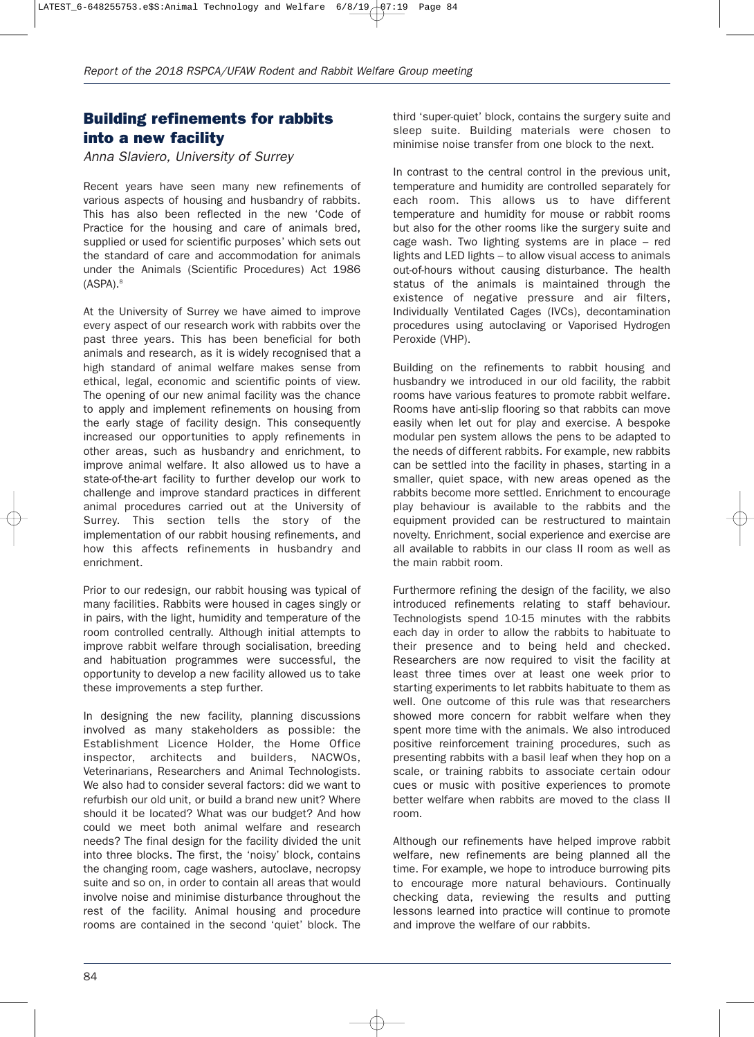## **Building refinements for rabbits into a new facility**

*Anna Slaviero, University of Surrey*

Recent years have seen many new refinements of various aspects of housing and husbandry of rabbits. This has also been reflected in the new 'Code of Practice for the housing and care of animals bred, supplied or used for scientific purposes' which sets out the standard of care and accommodation for animals under the Animals (Scientific Procedures) Act 1986  $(ASPA).<sup>8</sup>$ 

At the University of Surrey we have aimed to improve every aspect of our research work with rabbits over the past three years. This has been beneficial for both animals and research, as it is widely recognised that a high standard of animal welfare makes sense from ethical, legal, economic and scientific points of view. The opening of our new animal facility was the chance to apply and implement refinements on housing from the early stage of facility design. This consequently increased our opportunities to apply refinements in other areas, such as husbandry and enrichment, to improve animal welfare. It also allowed us to have a state-of-the-art facility to further develop our work to challenge and improve standard practices in different animal procedures carried out at the University of Surrey. This section tells the story of the implementation of our rabbit housing refinements, and how this affects refinements in husbandry and enrichment.

Prior to our redesign, our rabbit housing was typical of many facilities. Rabbits were housed in cages singly or in pairs, with the light, humidity and temperature of the room controlled centrally. Although initial attempts to improve rabbit welfare through socialisation, breeding and habituation programmes were successful, the opportunity to develop a new facility allowed us to take these improvements a step further.

In designing the new facility, planning discussions involved as many stakeholders as possible: the Establishment Licence Holder, the Home Office inspector, architects and builders, NACWOs, Veterinarians, Researchers and Animal Technologists. We also had to consider several factors: did we want to refurbish our old unit, or build a brand new unit? Where should it be located? What was our budget? And how could we meet both animal welfare and research needs? The final design for the facility divided the unit into three blocks. The first, the 'noisy' block, contains the changing room, cage washers, autoclave, necropsy suite and so on, in order to contain all areas that would involve noise and minimise disturbance throughout the rest of the facility. Animal housing and procedure rooms are contained in the second 'quiet' block. The

third 'super-quiet' block, contains the surgery suite and sleep suite. Building materials were chosen to minimise noise transfer from one block to the next.

In contrast to the central control in the previous unit, temperature and humidity are controlled separately for each room. This allows us to have different temperature and humidity for mouse or rabbit rooms but also for the other rooms like the surgery suite and cage wash. Two lighting systems are in place – red lights and LED lights – to allow visual access to animals out-of-hours without causing disturbance. The health status of the animals is maintained through the existence of negative pressure and air filters, Individually Ventilated Cages (IVCs), decontamination procedures using autoclaving or Vaporised Hydrogen Peroxide (VHP).

Building on the refinements to rabbit housing and husbandry we introduced in our old facility, the rabbit rooms have various features to promote rabbit welfare. Rooms have anti-slip flooring so that rabbits can move easily when let out for play and exercise. A bespoke modular pen system allows the pens to be adapted to the needs of different rabbits. For example, new rabbits can be settled into the facility in phases, starting in a smaller, quiet space, with new areas opened as the rabbits become more settled. Enrichment to encourage play behaviour is available to the rabbits and the equipment provided can be restructured to maintain novelty. Enrichment, social experience and exercise are all available to rabbits in our class II room as well as the main rabbit room.

Furthermore refining the design of the facility, we also introduced refinements relating to staff behaviour. Technologists spend 10-15 minutes with the rabbits each day in order to allow the rabbits to habituate to their presence and to being held and checked. Researchers are now required to visit the facility at least three times over at least one week prior to starting experiments to let rabbits habituate to them as well. One outcome of this rule was that researchers showed more concern for rabbit welfare when they spent more time with the animals. We also introduced positive reinforcement training procedures, such as presenting rabbits with a basil leaf when they hop on a scale, or training rabbits to associate certain odour cues or music with positive experiences to promote better welfare when rabbits are moved to the class II room.

Although our refinements have helped improve rabbit welfare, new refinements are being planned all the time. For example, we hope to introduce burrowing pits to encourage more natural behaviours. Continually checking data, reviewing the results and putting lessons learned into practice will continue to promote and improve the welfare of our rabbits.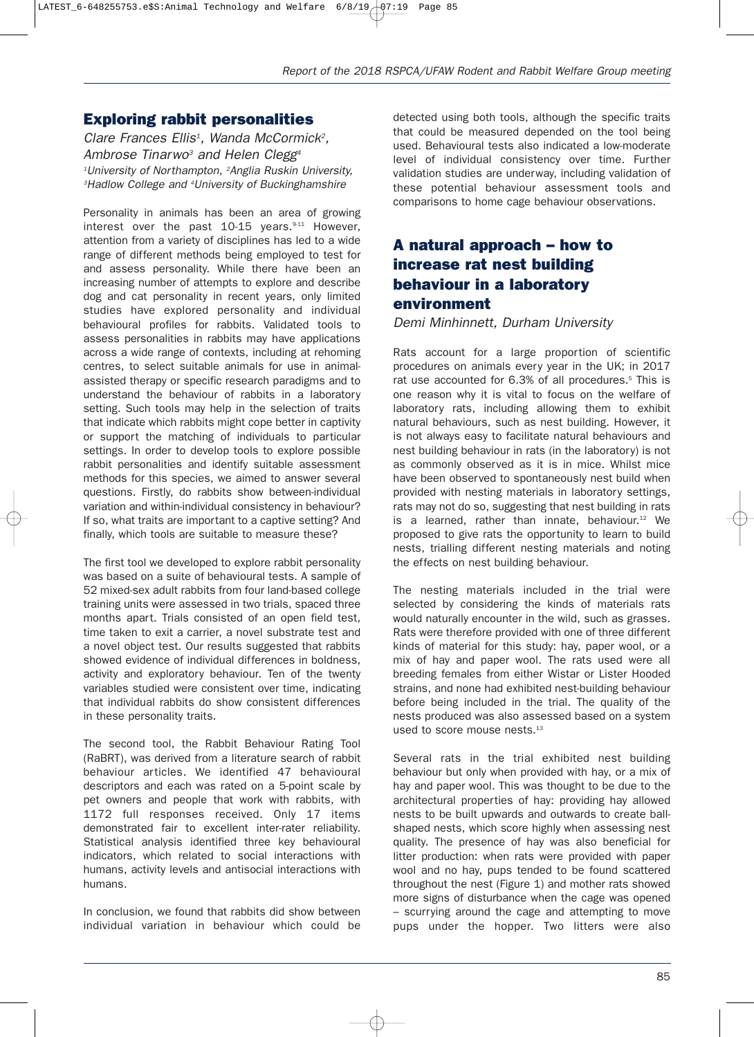#### **Exploring rabbit personalities**

*Clare Frances Ellis1 , Wanda McCormick2 , Ambrose Tinarwo3 and Helen Clegg4 1 University of Northampton, <sup>2</sup> Anglia Ruskin University, 3 Hadlow College and <sup>4</sup> University of Buckinghamshire*

Personality in animals has been an area of growing interest over the past  $10-15$  years.  $9-11$  However, attention from a variety of disciplines has led to a wide range of different methods being employed to test for and assess personality. While there have been an increasing number of attempts to explore and describe dog and cat personality in recent years, only limited studies have explored personality and individual behavioural profiles for rabbits. Validated tools to assess personalities in rabbits may have applications across a wide range of contexts, including at rehoming centres, to select suitable animals for use in animalassisted therapy or specific research paradigms and to understand the behaviour of rabbits in a laboratory setting. Such tools may help in the selection of traits that indicate which rabbits might cope better in captivity or support the matching of individuals to particular settings. In order to develop tools to explore possible rabbit personalities and identify suitable assessment methods for this species, we aimed to answer several questions. Firstly, do rabbits show between-individual variation and within-individual consistency in behaviour? If so, what traits are important to a captive setting? And finally, which tools are suitable to measure these?

The first tool we developed to explore rabbit personality was based on a suite of behavioural tests. A sample of 52 mixed-sex adult rabbits from four land-based college training units were assessed in two trials, spaced three months apart. Trials consisted of an open field test, time taken to exit a carrier, a novel substrate test and a novel object test. Our results suggested that rabbits showed evidence of individual differences in boldness, activity and exploratory behaviour. Ten of the twenty variables studied were consistent over time, indicating that individual rabbits do show consistent differences in these personality traits.

The second tool, the Rabbit Behaviour Rating Tool (RaBRT), was derived from a literature search of rabbit behaviour articles. We identified 47 behavioural descriptors and each was rated on a 5-point scale by pet owners and people that work with rabbits, with 1172 full responses received. Only 17 items demonstrated fair to excellent inter-rater reliability. Statistical analysis identified three key behavioural indicators, which related to social interactions with humans, activity levels and antisocial interactions with humans.

In conclusion, we found that rabbits did show between individual variation in behaviour which could be

detected using both tools, although the specific traits that could be measured depended on the tool being used. Behavioural tests also indicated a low-moderate level of individual consistency over time. Further validation studies are underway, including validation of these potential behaviour assessment tools and comparisons to home cage behaviour observations.

# **A natural approach – how to increase rat nest building behaviour in a laboratory environment**

*Demi Minhinnett, Durham University*

Rats account for a large proportion of scientific procedures on animals every year in the UK; in 2017 rat use accounted for 6.3% of all procedures.<sup>5</sup> This is one reason why it is vital to focus on the welfare of laboratory rats, including allowing them to exhibit natural behaviours, such as nest building. However, it is not always easy to facilitate natural behaviours and nest building behaviour in rats (in the laboratory) is not as commonly observed as it is in mice. Whilst mice have been observed to spontaneously nest build when provided with nesting materials in laboratory settings, rats may not do so, suggesting that nest building in rats is a learned, rather than innate, behaviour. $12$  We proposed to give rats the opportunity to learn to build nests, trialling different nesting materials and noting the effects on nest building behaviour.

The nesting materials included in the trial were selected by considering the kinds of materials rats would naturally encounter in the wild, such as grasses. Rats were therefore provided with one of three different kinds of material for this study: hay, paper wool, or a mix of hay and paper wool. The rats used were all breeding females from either Wistar or Lister Hooded strains, and none had exhibited nest-building behaviour before being included in the trial. The quality of the nests produced was also assessed based on a system used to score mouse nests.<sup>13</sup>

Several rats in the trial exhibited nest building behaviour but only when provided with hay, or a mix of hay and paper wool. This was thought to be due to the architectural properties of hay: providing hay allowed nests to be built upwards and outwards to create ballshaped nests, which score highly when assessing nest quality. The presence of hay was also beneficial for litter production: when rats were provided with paper wool and no hay, pups tended to be found scattered throughout the nest (Figure 1) and mother rats showed more signs of disturbance when the cage was opened – scurrying around the cage and attempting to move pups under the hopper. Two litters were also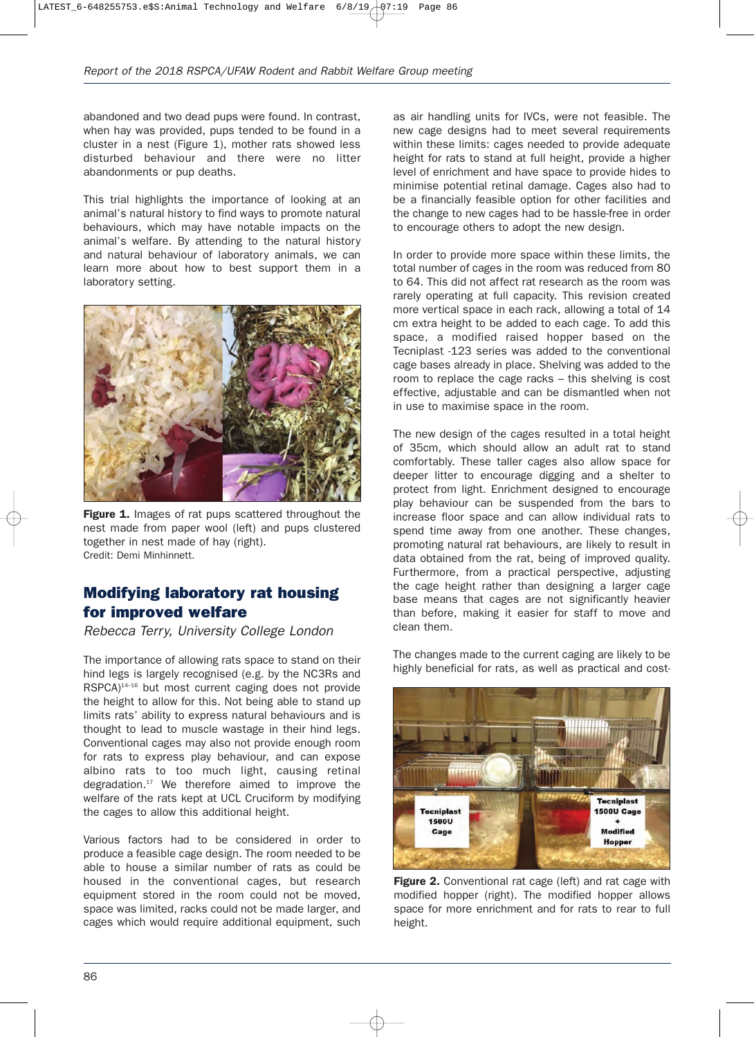abandoned and two dead pups were found. In contrast, when hay was provided, pups tended to be found in a cluster in a nest (Figure 1), mother rats showed less disturbed behaviour and there were no litter abandonments or pup deaths.

This trial highlights the importance of looking at an animal's natural history to find ways to promote natural behaviours, which may have notable impacts on the animal's welfare. By attending to the natural history and natural behaviour of laboratory animals, we can learn more about how to best support them in a laboratory setting.



**Figure 1.** Images of rat pups scattered throughout the nest made from paper wool (left) and pups clustered together in nest made of hay (right). Credit: Demi Minhinnett.

### **Modifying laboratory rat housing for improved welfare**

*Rebecca Terry, University College London*

The importance of allowing rats space to stand on their hind legs is largely recognised (e.g. by the NC3Rs and RSPCA)<sup>14-16</sup> but most current caging does not provide the height to allow for this. Not being able to stand up limits rats' ability to express natural behaviours and is thought to lead to muscle wastage in their hind legs. Conventional cages may also not provide enough room for rats to express play behaviour, and can expose albino rats to too much light, causing retinal degradation.<sup>17</sup> We therefore aimed to improve the welfare of the rats kept at UCL Cruciform by modifying the cages to allow this additional height.

Various factors had to be considered in order to produce a feasible cage design. The room needed to be able to house a similar number of rats as could be housed in the conventional cages, but research equipment stored in the room could not be moved, space was limited, racks could not be made larger, and cages which would require additional equipment, such

as air handling units for IVCs, were not feasible. The new cage designs had to meet several requirements within these limits: cages needed to provide adequate height for rats to stand at full height, provide a higher level of enrichment and have space to provide hides to minimise potential retinal damage. Cages also had to be a financially feasible option for other facilities and the change to new cages had to be hassle-free in order to encourage others to adopt the new design.

In order to provide more space within these limits, the total number of cages in the room was reduced from 80 to 64. This did not affect rat research as the room was rarely operating at full capacity. This revision created more vertical space in each rack, allowing a total of 14 cm extra height to be added to each cage. To add this space, a modified raised hopper based on the Tecniplast -123 series was added to the conventional cage bases already in place. Shelving was added to the room to replace the cage racks – this shelving is cost effective, adjustable and can be dismantled when not in use to maximise space in the room.

The new design of the cages resulted in a total height of 35cm, which should allow an adult rat to stand comfortably. These taller cages also allow space for deeper litter to encourage digging and a shelter to protect from light. Enrichment designed to encourage play behaviour can be suspended from the bars to increase floor space and can allow individual rats to spend time away from one another. These changes, promoting natural rat behaviours, are likely to result in data obtained from the rat, being of improved quality. Furthermore, from a practical perspective, adjusting the cage height rather than designing a larger cage base means that cages are not significantly heavier than before, making it easier for staff to move and clean them.

The changes made to the current caging are likely to be highly beneficial for rats, as well as practical and cost-



**Figure 2.** Conventional rat cage (left) and rat cage with modified hopper (right). The modified hopper allows space for more enrichment and for rats to rear to full height.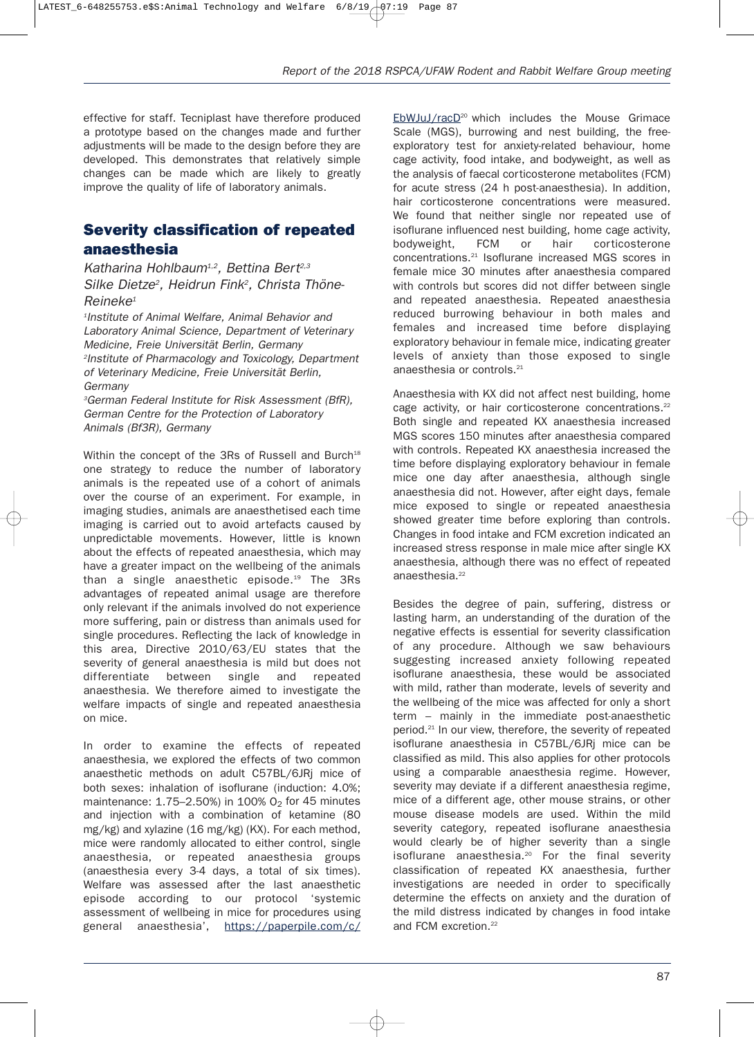effective for staff. Tecniplast have therefore produced a prototype based on the changes made and further adjustments will be made to the design before they are developed. This demonstrates that relatively simple changes can be made which are likely to greatly improve the quality of life of laboratory animals.

## **Severity classification of repeated anaesthesia**

*Katharina Hohlbaum1,2, Bettina Bert2,3 Silke Dietze2 , Heidrun Fink2 , Christa Thöne-Reineke1*

*1 Institute of Animal Welfare, Animal Behavior and Laboratory Animal Science, Department of Veterinary Medicine, Freie Universität Berlin, Germany 2 Institute of Pharmacology and Toxicology, Department of Veterinary Medicine, Freie Universität Berlin, Germany*

*3 German Federal Institute for Risk Assessment (BfR), German Centre for the Protection of Laboratory Animals (Bf3R), Germany*

Within the concept of the 3Rs of Russell and Burch<sup>18</sup> one strategy to reduce the number of laboratory animals is the repeated use of a cohort of animals over the course of an experiment. For example, in imaging studies, animals are anaesthetised each time imaging is carried out to avoid artefacts caused by unpredictable movements. However, little is known about the effects of repeated anaesthesia, which may have a greater impact on the wellbeing of the animals than a single anaesthetic episode.19 The 3Rs advantages of repeated animal usage are therefore only relevant if the animals involved do not experience more suffering, pain or distress than animals used for single procedures. Reflecting the lack of knowledge in this area, Directive 2010/63/EU states that the severity of general anaesthesia is mild but does not differentiate between single and repeated anaesthesia. We therefore aimed to investigate the welfare impacts of single and repeated anaesthesia on mice.

In order to examine the effects of repeated anaesthesia, we explored the effects of two common anaesthetic methods on adult C57BL/6JRj mice of both sexes: inhalation of isoflurane (induction: 4.0%; maintenance:  $1.75-2.50%$ ) in  $100%$  O<sub>2</sub> for 45 minutes and injection with a combination of ketamine (80 mg/kg) and xylazine (16 mg/kg) (KX). For each method, mice were randomly allocated to either control, single anaesthesia, or repeated anaesthesia groups (anaesthesia every 3-4 days, a total of six times). Welfare was assessed after the last anaesthetic episode according to our protocol 'systemic assessment of wellbeing in mice for procedures using general anaesthesia', https://paperpile.com/c/

EbWJuJ/racD<sup>20</sup> which includes the Mouse Grimace Scale (MGS), burrowing and nest building, the freeexploratory test for anxiety-related behaviour, home cage activity, food intake, and bodyweight, as well as the analysis of faecal corticosterone metabolites (FCM) for acute stress (24 h post-anaesthesia). In addition, hair corticosterone concentrations were measured. We found that neither single nor repeated use of isoflurane influenced nest building, home cage activity, bodyweight, FCM or hair corticosterone concentrations.21 Isoflurane increased MGS scores in female mice 30 minutes after anaesthesia compared with controls but scores did not differ between single and repeated anaesthesia. Repeated anaesthesia reduced burrowing behaviour in both males and females and increased time before displaying exploratory behaviour in female mice, indicating greater levels of anxiety than those exposed to single anaesthesia or controls.<sup>21</sup>

Anaesthesia with KX did not affect nest building, home cage activity, or hair corticosterone concentrations.<sup>22</sup> Both single and repeated KX anaesthesia increased MGS scores 150 minutes after anaesthesia compared with controls. Repeated KX anaesthesia increased the time before displaying exploratory behaviour in female mice one day after anaesthesia, although single anaesthesia did not. However, after eight days, female mice exposed to single or repeated anaesthesia showed greater time before exploring than controls. Changes in food intake and FCM excretion indicated an increased stress response in male mice after single KX anaesthesia, although there was no effect of repeated anaesthesia.<sup>22</sup>

Besides the degree of pain, suffering, distress or lasting harm, an understanding of the duration of the negative effects is essential for severity classification of any procedure. Although we saw behaviours suggesting increased anxiety following repeated isoflurane anaesthesia, these would be associated with mild, rather than moderate, levels of severity and the wellbeing of the mice was affected for only a short term – mainly in the immediate post-anaesthetic period.<sup>21</sup> In our view, therefore, the severity of repeated isoflurane anaesthesia in C57BL/6JRj mice can be classified as mild. This also applies for other protocols using a comparable anaesthesia regime. However, severity may deviate if a different anaesthesia regime, mice of a different age, other mouse strains, or other mouse disease models are used. Within the mild severity category, repeated isoflurane anaesthesia would clearly be of higher severity than a single isoflurane anaesthesia.<sup>20</sup> For the final severity classification of repeated KX anaesthesia, further investigations are needed in order to specifically determine the effects on anxiety and the duration of the mild distress indicated by changes in food intake and FCM excretion.<sup>22</sup>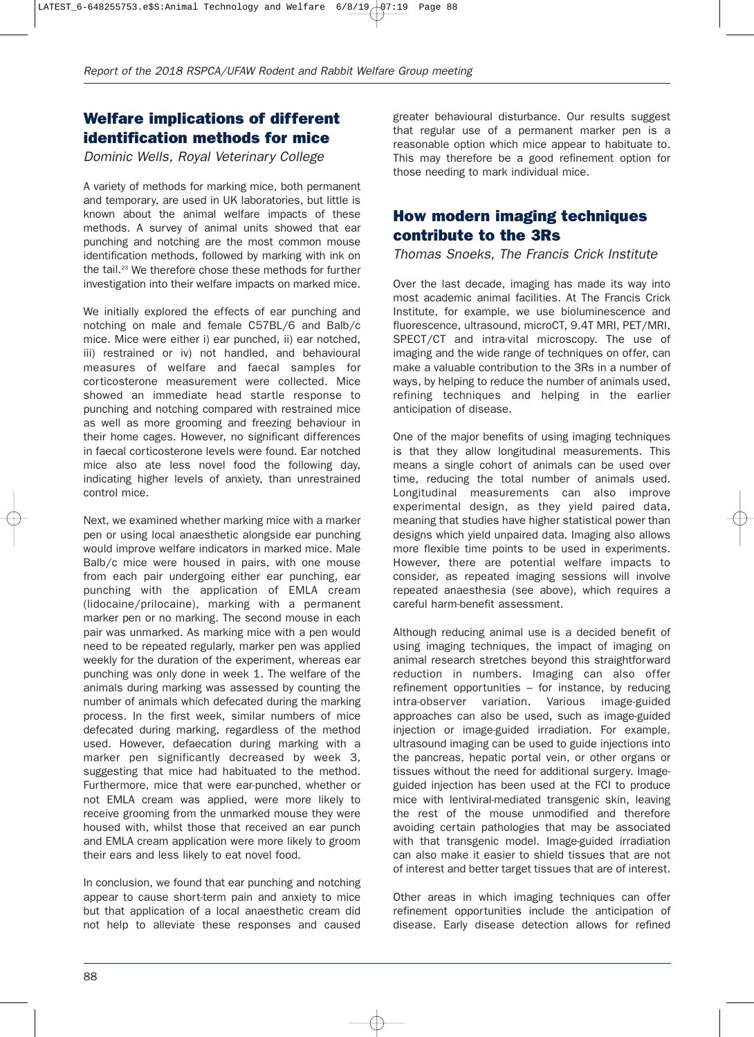## **Welfare implications of different identification methods for mice**

*Dominic Wells, Royal Veterinary College*

A variety of methods for marking mice, both permanent and temporary, are used in UK laboratories, but little is known about the animal welfare impacts of these methods. A survey of animal units showed that ear punching and notching are the most common mouse identification methods, followed by marking with ink on the tail.<sup>23</sup> We therefore chose these methods for further investigation into their welfare impacts on marked mice.

We initially explored the effects of ear punching and notching on male and female C57BL/6 and Balb/c mice. Mice were either i) ear punched, ii) ear notched, iii) restrained or iv) not handled, and behavioural measures of welfare and faecal samples for corticosterone measurement were collected. Mice showed an immediate head startle response to punching and notching compared with restrained mice as well as more grooming and freezing behaviour in their home cages. However, no significant differences in faecal corticosterone levels were found. Ear notched mice also ate less novel food the following day, indicating higher levels of anxiety, than unrestrained control mice.

Next, we examined whether marking mice with a marker pen or using local anaesthetic alongside ear punching would improve welfare indicators in marked mice. Male Balb/c mice were housed in pairs, with one mouse from each pair undergoing either ear punching, ear punching with the application of EMLA cream (lidocaine/prilocaine), marking with a permanent marker pen or no marking. The second mouse in each pair was unmarked. As marking mice with a pen would need to be repeated regularly, marker pen was applied weekly for the duration of the experiment, whereas ear punching was only done in week 1. The welfare of the animals during marking was assessed by counting the number of animals which defecated during the marking process. In the first week, similar numbers of mice defecated during marking, regardless of the method used. However, defaecation during marking with a marker pen significantly decreased by week 3, suggesting that mice had habituated to the method. Furthermore, mice that were ear-punched, whether or not EMLA cream was applied, were more likely to receive grooming from the unmarked mouse they were housed with, whilst those that received an ear punch and EMLA cream application were more likely to groom their ears and less likely to eat novel food.

In conclusion, we found that ear punching and notching appear to cause short-term pain and anxiety to mice but that application of a local anaesthetic cream did not help to alleviate these responses and caused

greater behavioural disturbance. Our results suggest that regular use of a permanent marker pen is a reasonable option which mice appear to habituate to. This may therefore be a good refinement option for those needing to mark individual mice.

#### **How modern imaging techniques contribute to the 3Rs**

*Thomas Snoeks, The Francis Crick Institute*

Over the last decade, imaging has made its way into most academic animal facilities. At The Francis Crick Institute, for example, we use bioluminescence and fluorescence, ultrasound, microCT, 9.4T MRI, PET/MRI, SPECT/CT and intra-vital microscopy. The use of imaging and the wide range of techniques on offer, can make a valuable contribution to the 3Rs in a number of ways, by helping to reduce the number of animals used, refining techniques and helping in the earlier anticipation of disease.

One of the major benefits of using imaging techniques is that they allow longitudinal measurements. This means a single cohort of animals can be used over time, reducing the total number of animals used. Longitudinal measurements can also improve experimental design, as they yield paired data, meaning that studies have higher statistical power than designs which yield unpaired data. Imaging also allows more flexible time points to be used in experiments. However, there are potential welfare impacts to consider, as repeated imaging sessions will involve repeated anaesthesia (see above), which requires a careful harm-benefit assessment.

Although reducing animal use is a decided benefit of using imaging techniques, the impact of imaging on animal research stretches beyond this straightforward reduction in numbers. Imaging can also offer refinement opportunities – for instance, by reducing intra-observer variation. Various image-guided approaches can also be used, such as image-guided injection or image-guided irradiation. For example, ultrasound imaging can be used to guide injections into the pancreas, hepatic portal vein, or other organs or tissues without the need for additional surgery. Imageguided injection has been used at the FCI to produce mice with lentiviral-mediated transgenic skin, leaving the rest of the mouse unmodified and therefore avoiding certain pathologies that may be associated with that transgenic model. Image-guided irradiation can also make it easier to shield tissues that are not of interest and better target tissues that are of interest.

Other areas in which imaging techniques can offer refinement opportunities include the anticipation of disease. Early disease detection allows for refined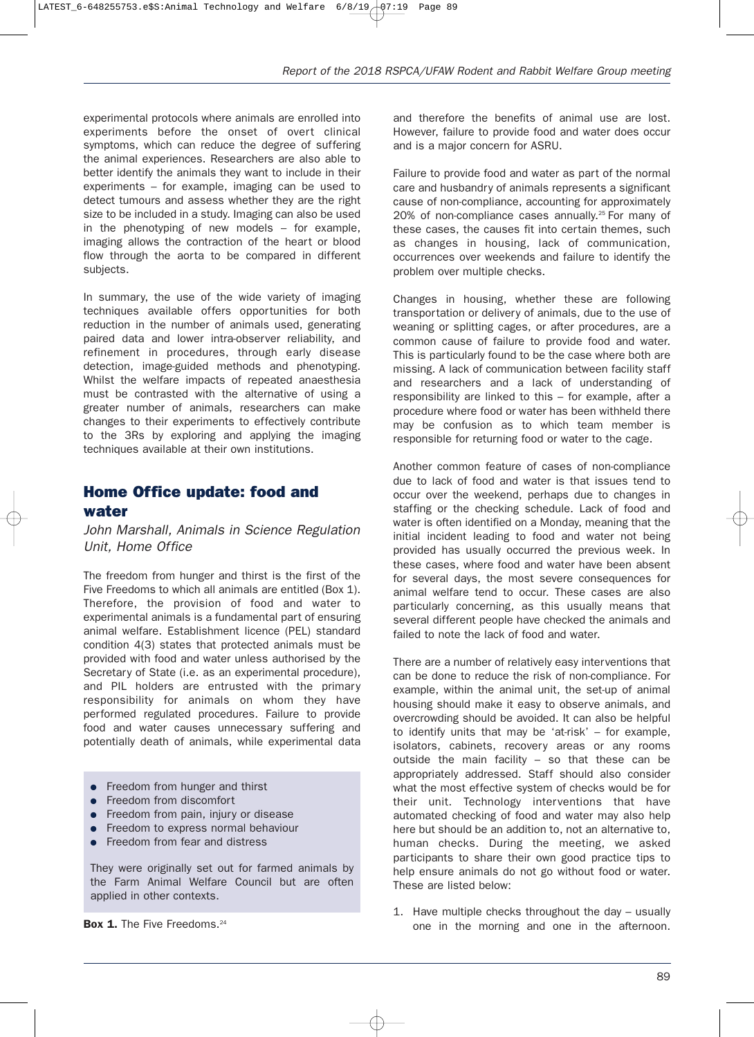experimental protocols where animals are enrolled into experiments before the onset of overt clinical symptoms, which can reduce the degree of suffering the animal experiences. Researchers are also able to better identify the animals they want to include in their experiments – for example, imaging can be used to detect tumours and assess whether they are the right size to be included in a study. Imaging can also be used in the phenotyping of new models – for example, imaging allows the contraction of the heart or blood flow through the aorta to be compared in different subjects.

In summary, the use of the wide variety of imaging techniques available offers opportunities for both reduction in the number of animals used, generating paired data and lower intra-observer reliability, and refinement in procedures, through early disease detection, image-guided methods and phenotyping. Whilst the welfare impacts of repeated anaesthesia must be contrasted with the alternative of using a greater number of animals, researchers can make changes to their experiments to effectively contribute to the 3Rs by exploring and applying the imaging techniques available at their own institutions.

#### **Home Office update: food and water**

*John Marshall, Animals in Science Regulation Unit, Home Office*

The freedom from hunger and thirst is the first of the Five Freedoms to which all animals are entitled (Box 1). Therefore, the provision of food and water to experimental animals is a fundamental part of ensuring animal welfare. Establishment licence (PEL) standard condition 4(3) states that protected animals must be provided with food and water unless authorised by the Secretary of State (i.e. as an experimental procedure), and PIL holders are entrusted with the primary responsibility for animals on whom they have performed regulated procedures. Failure to provide food and water causes unnecessary suffering and potentially death of animals, while experimental data

- Freedom from hunger and thirst
- Freedom from discomfort
- Freedom from pain, injury or disease
- **•** Freedom to express normal behaviour
- Freedom from fear and distress

They were originally set out for farmed animals by the Farm Animal Welfare Council but are often applied in other contexts.

and therefore the benefits of animal use are lost. However, failure to provide food and water does occur and is a major concern for ASRU.

Failure to provide food and water as part of the normal care and husbandry of animals represents a significant cause of non-compliance, accounting for approximately 20% of non-compliance cases annually.<sup>25</sup> For many of these cases, the causes fit into certain themes, such as changes in housing, lack of communication, occurrences over weekends and failure to identify the problem over multiple checks.

Changes in housing, whether these are following transportation or delivery of animals, due to the use of weaning or splitting cages, or after procedures, are a common cause of failure to provide food and water. This is particularly found to be the case where both are missing. A lack of communication between facility staff and researchers and a lack of understanding of responsibility are linked to this – for example, after a procedure where food or water has been withheld there may be confusion as to which team member is responsible for returning food or water to the cage.

Another common feature of cases of non-compliance due to lack of food and water is that issues tend to occur over the weekend, perhaps due to changes in staffing or the checking schedule. Lack of food and water is often identified on a Monday, meaning that the initial incident leading to food and water not being provided has usually occurred the previous week. In these cases, where food and water have been absent for several days, the most severe consequences for animal welfare tend to occur. These cases are also particularly concerning, as this usually means that several different people have checked the animals and failed to note the lack of food and water.

There are a number of relatively easy interventions that can be done to reduce the risk of non-compliance. For example, within the animal unit, the set-up of animal housing should make it easy to observe animals, and overcrowding should be avoided. It can also be helpful to identify units that may be 'at-risk' – for example, isolators, cabinets, recovery areas or any rooms outside the main facility – so that these can be appropriately addressed. Staff should also consider what the most effective system of checks would be for their unit. Technology interventions that have automated checking of food and water may also help here but should be an addition to, not an alternative to, human checks. During the meeting, we asked participants to share their own good practice tips to help ensure animals do not go without food or water. These are listed below:

1. Have multiple checks throughout the day – usually **Box 1.** The Five Freedoms.<sup>24</sup> example 1 and 20 one in the morning and one in the afternoon.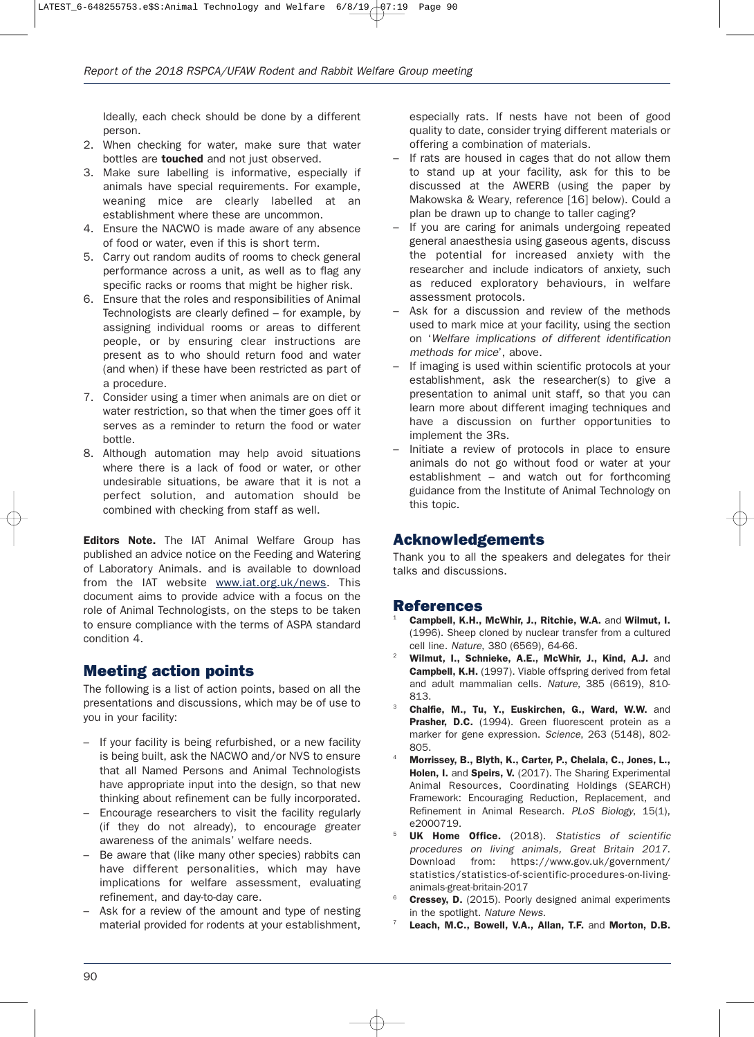Ideally, each check should be done by a different person.

- 2. When checking for water, make sure that water bottles are **touched** and not just observed.
- 3. Make sure labelling is informative, especially if animals have special requirements. For example, weaning mice are clearly labelled at an establishment where these are uncommon.
- 4. Ensure the NACWO is made aware of any absence of food or water, even if this is short term.
- 5. Carry out random audits of rooms to check general performance across a unit, as well as to flag any specific racks or rooms that might be higher risk.
- 6. Ensure that the roles and responsibilities of Animal Technologists are clearly defined – for example, by assigning individual rooms or areas to different people, or by ensuring clear instructions are present as to who should return food and water (and when) if these have been restricted as part of a procedure.
- 7. Consider using a timer when animals are on diet or water restriction, so that when the timer goes off it serves as a reminder to return the food or water bottle.
- 8. Although automation may help avoid situations where there is a lack of food or water, or other undesirable situations, be aware that it is not a perfect solution, and automation should be combined with checking from staff as well.

**Editors Note.** The IAT Animal Welfare Group has published an advice notice on the Feeding and Watering of Laboratory Animals. and is available to download from the IAT website www.iat.org.uk/news. This document aims to provide advice with a focus on the role of Animal Technologists, on the steps to be taken to ensure compliance with the terms of ASPA standard condition 4.

# **Meeting action points**

The following is a list of action points, based on all the presentations and discussions, which may be of use to you in your facility:

- If your facility is being refurbished, or a new facility is being built, ask the NACWO and/or NVS to ensure that all Named Persons and Animal Technologists have appropriate input into the design, so that new thinking about refinement can be fully incorporated.
- Encourage researchers to visit the facility regularly (if they do not already), to encourage greater awareness of the animals' welfare needs.
- Be aware that (like many other species) rabbits can have different personalities, which may have implications for welfare assessment, evaluating refinement, and day-to-day care.
- Ask for a review of the amount and type of nesting material provided for rodents at your establishment,

especially rats. If nests have not been of good quality to date, consider trying different materials or offering a combination of materials.

- If rats are housed in cages that do not allow them to stand up at your facility, ask for this to be discussed at the AWERB (using the paper by Makowska & Weary, reference [16] below). Could a plan be drawn up to change to taller caging?
- If you are caring for animals undergoing repeated general anaesthesia using gaseous agents, discuss the potential for increased anxiety with the researcher and include indicators of anxiety, such as reduced exploratory behaviours, in welfare assessment protocols.
- Ask for a discussion and review of the methods used to mark mice at your facility, using the section on '*Welfare implications of different identification methods for mice*', above.
- If imaging is used within scientific protocols at your establishment, ask the researcher(s) to give a presentation to animal unit staff, so that you can learn more about different imaging techniques and have a discussion on further opportunities to implement the 3Rs.
- Initiate a review of protocols in place to ensure animals do not go without food or water at your establishment – and watch out for forthcoming guidance from the Institute of Animal Technology on this topic.

#### **Acknowledgements**

Thank you to all the speakers and delegates for their talks and discussions.

#### **References**

- <sup>1</sup> **Campbell, K.H., McWhir, J., Ritchie, W.A.** and **Wilmut, I.** (1996). Sheep cloned by nuclear transfer from a cultured cell line. *Nature*, 380 (6569), 64-66.
- <sup>2</sup> **Wilmut, I., Schnieke, A.E., McWhir, J., Kind, A.J.** and **Campbell, K.H.** (1997). Viable offspring derived from fetal and adult mammalian cells. *Nature*, 385 (6619), 810- 813.
- <sup>3</sup> **Chalfie, M., Tu, Y., Euskirchen, G., Ward, W.W.** and Prasher, D.C. (1994). Green fluorescent protein as a marker for gene expression. *Science*, 263 (5148), 802- 805.
- <sup>4</sup> **Morrissey, B., Blyth, K., Carter, P., Chelala, C., Jones, L., Holen, I.** and **Speirs, V.** (2017). The Sharing Experimental Animal Resources, Coordinating Holdings (SEARCH) Framework: Encouraging Reduction, Replacement, and Refinement in Animal Research. *PLoS Biology*, 15(1), e2000719.
- <sup>5</sup> **UK Home Office.** (2018). *Statistics of scientific procedures on living animals, Great Britain 2017*. Download from: https://www.gov.uk/government/ statistics/statistics-of-scientific-procedures-on-livinganimals-great-britain-2017
- <sup>6</sup> **Cressey, D.** (2015). Poorly designed animal experiments in the spotlight. *Nature News*.
- <sup>7</sup> **Leach, M.C., Bowell, V.A., Allan, T.F.** and **Morton, D.B.**